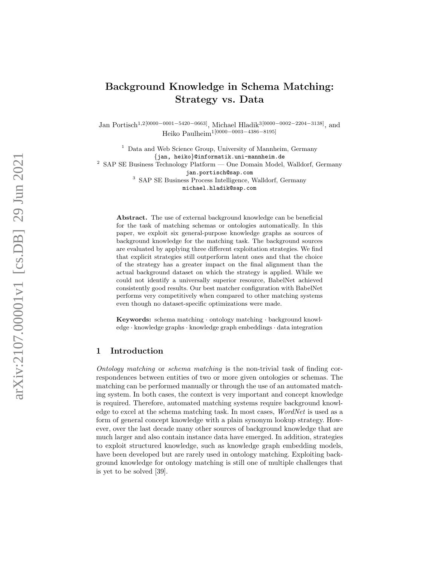# Background Knowledge in Schema Matching: Strategy vs. Data

Jan Portisch<sup>1,2</sup>[0000–0001–5420–0663], Michael Hladik<sup>3</sup>[0000–0002–2204–3138], and Heiko Paulheim<sup>1</sup>[0000–0003–4386–8195]

<sup>1</sup> Data and Web Science Group, University of Mannheim, Germany {jan, heiko}@informatik.uni-mannheim.de <sup>2</sup> SAP SE Business Technology Platform — One Domain Model, Walldorf, Germany jan.portisch@sap.com <sup>3</sup> SAP SE Business Process Intelligence, Walldorf, Germany michael.hladik@sap.com

Abstract. The use of external background knowledge can be beneficial for the task of matching schemas or ontologies automatically. In this paper, we exploit six general-purpose knowledge graphs as sources of background knowledge for the matching task. The background sources are evaluated by applying three different exploitation strategies. We find that explicit strategies still outperform latent ones and that the choice of the strategy has a greater impact on the final alignment than the actual background dataset on which the strategy is applied. While we could not identify a universally superior resource, BabelNet achieved consistently good results. Our best matcher configuration with BabelNet performs very competitively when compared to other matching systems even though no dataset-specific optimizations were made.

Keywords: schema matching · ontology matching · background knowledge · knowledge graphs · knowledge graph embeddings · data integration

# 1 Introduction

Ontology matching or schema matching is the non-trivial task of finding correspondences between entities of two or more given ontologies or schemas. The matching can be performed manually or through the use of an automated matching system. In both cases, the context is very important and concept knowledge is required. Therefore, automated matching systems require background knowledge to excel at the schema matching task. In most cases, WordNet is used as a form of general concept knowledge with a plain synonym lookup strategy. However, over the last decade many other sources of background knowledge that are much larger and also contain instance data have emerged. In addition, strategies to exploit structured knowledge, such as knowledge graph embedding models, have been developed but are rarely used in ontology matching. Exploiting background knowledge for ontology matching is still one of multiple challenges that is yet to be solved [\[39\]](#page-16-0).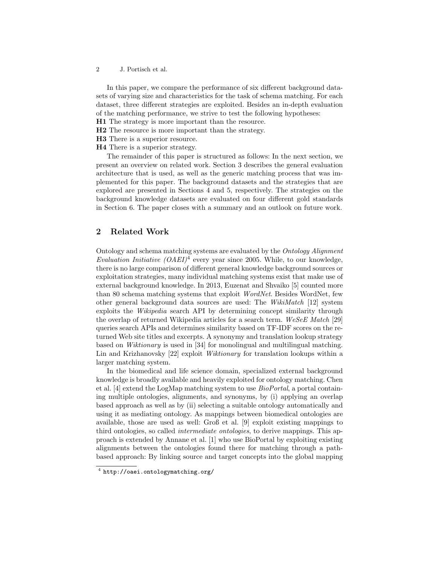In this paper, we compare the performance of six different background datasets of varying size and characteristics for the task of schema matching. For each dataset, three different strategies are exploited. Besides an in-depth evaluation of the matching performance, we strive to test the following hypotheses:

- H1 The strategy is more important than the resource.
- H2 The resource is more important than the strategy.
- H3 There is a superior resource.
- H4 There is a superior strategy.

The remainder of this paper is structured as follows: In the next section, we present an overview on related work. Section [3](#page-2-0) describes the general evaluation architecture that is used, as well as the generic matching process that was implemented for this paper. The background datasets and the strategies that are explored are presented in Sections [4](#page-4-0) and [5,](#page-6-0) respectively. The strategies on the background knowledge datasets are evaluated on four different gold standards in Section [6.](#page-8-0) The paper closes with a summary and an outlook on future work.

# 2 Related Work

Ontology and schema matching systems are evaluated by the Ontology Alignment Evaluation Initiative  $(OAEI)^4$  $(OAEI)^4$  every year since 2005. While, to our knowledge, there is no large comparison of different general knowledge background sources or exploitation strategies, many individual matching systems exist that make use of external background knowledge. In 2013, Euzenat and Shvaiko [\[5\]](#page-14-0) counted more than 80 schema matching systems that exploit WordNet. Besides WordNet, few other general background data sources are used: The WikiMatch [\[12\]](#page-15-0) system exploits the *Wikipedia* search API by determining concept similarity through the overlap of returned Wikipedia articles for a search term. We SeE Match [\[29\]](#page-16-1) queries search APIs and determines similarity based on TF-IDF scores on the returned Web site titles and excerpts. A synonymy and translation lookup strategy based on Wiktionary is used in [\[34\]](#page-16-2) for monolingual and multilingual matching. Lin and Krizhanovsky [\[22\]](#page-15-1) exploit Wiktionary for translation lookups within a larger matching system.

In the biomedical and life science domain, specialized external background knowledge is broadly available and heavily exploited for ontology matching. Chen et al. [\[4\]](#page-14-1) extend the LogMap matching system to use BioPortal, a portal containing multiple ontologies, alignments, and synonyms, by (i) applying an overlap based approach as well as by (ii) selecting a suitable ontology automatically and using it as mediating ontology. As mappings between biomedical ontologies are available, those are used as well: Groß et al. [\[9\]](#page-15-2) exploit existing mappings to third ontologies, so called intermediate ontologies, to derive mappings. This approach is extended by Annane et al. [\[1\]](#page-14-2) who use BioPortal by exploiting existing alignments between the ontologies found there for matching through a pathbased approach: By linking source and target concepts into the global mapping

<span id="page-1-0"></span><sup>4</sup> <http://oaei.ontologymatching.org/>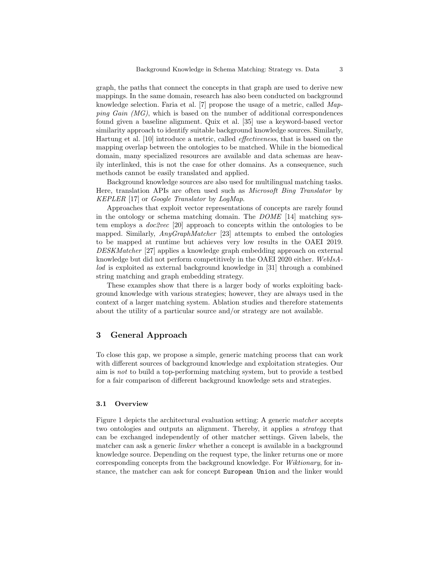graph, the paths that connect the concepts in that graph are used to derive new mappings. In the same domain, research has also been conducted on background knowledge selection. Faria et al. [\[7\]](#page-15-3) propose the usage of a metric, called Map $ping\ Gain\ (MG)$ , which is based on the number of additional correspondences found given a baseline alignment. Quix et al. [\[35\]](#page-16-3) use a keyword-based vector similarity approach to identify suitable background knowledge sources. Similarly, Hartung et al. [\[10\]](#page-15-4) introduce a metric, called effectiveness, that is based on the mapping overlap between the ontologies to be matched. While in the biomedical domain, many specialized resources are available and data schemas are heavily interlinked, this is not the case for other domains. As a consequence, such methods cannot be easily translated and applied.

Background knowledge sources are also used for multilingual matching tasks. Here, translation APIs are often used such as Microsoft Bing Translator by KEPLER [\[17\]](#page-15-5) or *Google Translator* by *LogMap*.

Approaches that exploit vector representations of concepts are rarely found in the ontology or schema matching domain. The DOME [\[14\]](#page-15-6) matching system employs a doc2vec [\[20\]](#page-15-7) approach to concepts within the ontologies to be mapped. Similarly, AnyGraphMatcher [\[23\]](#page-15-8) attempts to embed the ontologies to be mapped at runtime but achieves very low results in the OAEI 2019. DESKMatcher [\[27\]](#page-16-4) applies a knowledge graph embedding approach on external knowledge but did not perform competitively in the OAEI 2020 either. WebIsAlod is exploited as external background knowledge in [\[31\]](#page-16-5) through a combined string matching and graph embedding strategy.

These examples show that there is a larger body of works exploiting background knowledge with various strategies; however, they are always used in the context of a larger matching system. Ablation studies and therefore statements about the utility of a particular source and/or strategy are not available.

## <span id="page-2-0"></span>3 General Approach

To close this gap, we propose a simple, generic matching process that can work with different sources of background knowledge and exploitation strategies. Our aim is not to build a top-performing matching system, but to provide a testbed for a fair comparison of different background knowledge sets and strategies.

## 3.1 Overview

Figure [1](#page-3-0) depicts the architectural evaluation setting: A generic matcher accepts two ontologies and outputs an alignment. Thereby, it applies a strategy that can be exchanged independently of other matcher settings. Given labels, the matcher can ask a generic linker whether a concept is available in a background knowledge source. Depending on the request type, the linker returns one or more corresponding concepts from the background knowledge. For Wiktionary, for instance, the matcher can ask for concept European Union and the linker would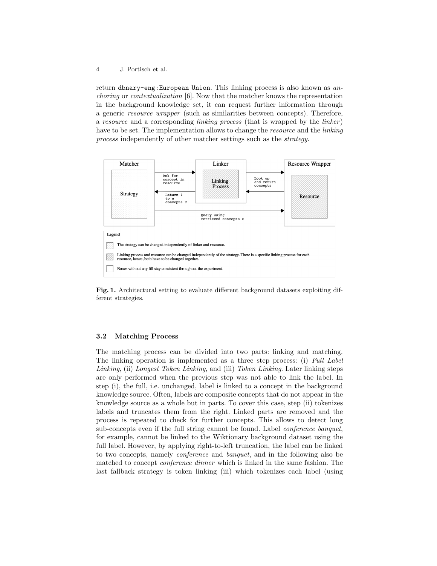return dbnary-eng: European Union. This linking process is also known as anchoring or contextualization [\[6\]](#page-14-3). Now that the matcher knows the representation in the background knowledge set, it can request further information through a generic resource wrapper (such as similarities between concepts). Therefore, a resource and a corresponding *linking process* (that is wrapped by the *linker*) have to be set. The implementation allows to change the *resource* and the *linking* process independently of other matcher settings such as the strategy.



<span id="page-3-0"></span>Fig. 1. Architectural setting to evaluate different background datasets exploiting different strategies.

#### 3.2 Matching Process

The matching process can be divided into two parts: linking and matching. The linking operation is implemented as a three step process: (i) Full Label Linking, (ii) Longest Token Linking, and (iii) Token Linking. Later linking steps are only performed when the previous step was not able to link the label. In step (i), the full, i.e. unchanged, label is linked to a concept in the background knowledge source. Often, labels are composite concepts that do not appear in the knowledge source as a whole but in parts. To cover this case, step (ii) tokenizes labels and truncates them from the right. Linked parts are removed and the process is repeated to check for further concepts. This allows to detect long sub-concepts even if the full string cannot be found. Label *conference banquet*, for example, cannot be linked to the Wiktionary background dataset using the full label. However, by applying right-to-left truncation, the label can be linked to two concepts, namely conference and banquet, and in the following also be matched to concept conference dinner which is linked in the same fashion. The last fallback strategy is token linking (iii) which tokenizes each label (using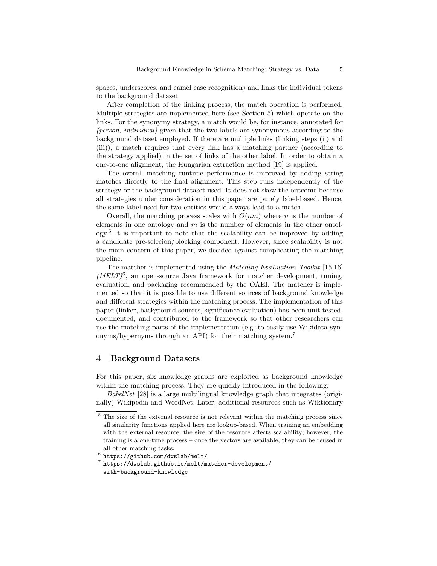spaces, underscores, and camel case recognition) and links the individual tokens to the background dataset.

After completion of the linking process, the match operation is performed. Multiple strategies are implemented here (see Section [5\)](#page-6-0) which operate on the links. For the synonymy strategy, a match would be, for instance, annotated for (person, individual) given that the two labels are synonymous according to the background dataset employed. If there are multiple links (linking steps (ii) and (iii)), a match requires that every link has a matching partner (according to the strategy applied) in the set of links of the other label. In order to obtain a one-to-one alignment, the Hungarian extraction method [\[19\]](#page-15-9) is applied.

The overall matching runtime performance is improved by adding string matches directly to the final alignment. This step runs independently of the strategy or the background dataset used. It does not skew the outcome because all strategies under consideration in this paper are purely label-based. Hence, the same label used for two entities would always lead to a match.

Overall, the matching process scales with  $O(nm)$  where n is the number of elements in one ontology and  $m$  is the number of elements in the other ontology.[5](#page-4-1) It is important to note that the scalability can be improved by adding a candidate pre-selecion/blocking component. However, since scalability is not the main concern of this paper, we decided against complicating the matching pipeline.

The matcher is implemented using the Matching EvaLuation Toolkit [\[15,](#page-15-10)[16\]](#page-15-11)  $(MELT)^6$  $(MELT)^6$ , an open-source Java framework for matcher development, tuning, evaluation, and packaging recommended by the OAEI. The matcher is implemented so that it is possible to use different sources of background knowledge and different strategies within the matching process. The implementation of this paper (linker, background sources, significance evaluation) has been unit tested, documented, and contributed to the framework so that other researchers can use the matching parts of the implementation (e.g. to easily use Wikidata synonyms/hypernyms through an API) for their matching system.[7](#page-4-3)

# <span id="page-4-0"></span>4 Background Datasets

For this paper, six knowledge graphs are exploited as background knowledge within the matching process. They are quickly introduced in the following:

BabelNet [\[28\]](#page-16-6) is a large multilingual knowledge graph that integrates (originally) Wikipedia and WordNet. Later, additional resources such as Wiktionary

<span id="page-4-1"></span> $5$  The size of the external resource is not relevant within the matching process since all similarity functions applied here are lookup-based. When training an embedding with the external resource, the size of the resource affects scalability; however, the training is a one-time process – once the vectors are available, they can be reused in all other matching tasks.

<span id="page-4-2"></span> $^6$  <https://github.com/dwslab/melt/>

<span id="page-4-3"></span><sup>7</sup> [https://dwslab.github.io/melt/matcher-development/](https://dwslab.github.io/melt/matcher-development/with-background-knowledge) [with-background-knowledge](https://dwslab.github.io/melt/matcher-development/with-background-knowledge)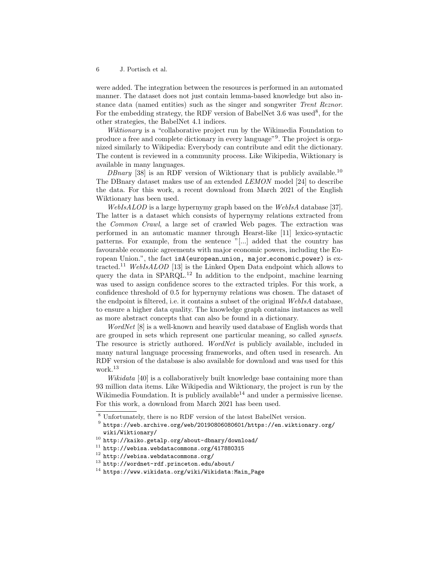were added. The integration between the resources is performed in an automated manner. The dataset does not just contain lemma-based knowledge but also instance data (named entities) such as the singer and songwriter Trent Reznor. For the embedding strategy, the RDF version of BabelNet  $3.6$  was used<sup>[8](#page-5-0)</sup>, for the other strategies, the BabelNet 4.1 indices.

Wiktionary is a "collaborative project run by the Wikimedia Foundation to produce a free and complete dictionary in every language"[9](#page-5-1) . The project is organized similarly to Wikipedia: Everybody can contribute and edit the dictionary. The content is reviewed in a community process. Like Wikipedia, Wiktionary is available in many languages.

 $DBnary$  [\[38\]](#page-16-7) is an RDF version of Wiktionary that is publicly available.<sup>[10](#page-5-2)</sup> The DBnary dataset makes use of an extended LEMON model [\[24\]](#page-15-12) to describe the data. For this work, a recent download from March 2021 of the English Wiktionary has been used.

 $WeIs ALOD$  is a large hypernymy graph based on the  $WebsA$  database [\[37\]](#page-16-8). The latter is a dataset which consists of hypernymy relations extracted from the Common Crawl, a large set of crawled Web pages. The extraction was performed in an automatic manner through Hearst-like [\[11\]](#page-15-13) lexico-syntactic patterns. For example, from the sentence "[...] added that the country has favourable economic agreements with major economic powers, including the European Union.", the fact isA(european union, major economic power) is ex-tracted.<sup>[11](#page-5-3)</sup> WebIsALOD [\[13\]](#page-15-14) is the Linked Open Data endpoint which allows to query the data in  $SPARQL<sup>12</sup>$  $SPARQL<sup>12</sup>$  $SPARQL<sup>12</sup>$  In addition to the endpoint, machine learning was used to assign confidence scores to the extracted triples. For this work, a confidence threshold of 0.5 for hypernymy relations was chosen. The dataset of the endpoint is filtered, i.e. it contains a subset of the original WebIsA database, to ensure a higher data quality. The knowledge graph contains instances as well as more abstract concepts that can also be found in a dictionary.

WordNet [\[8\]](#page-15-15) is a well-known and heavily used database of English words that are grouped in sets which represent one particular meaning, so called synsets. The resource is strictly authored. WordNet is publicly available, included in many natural language processing frameworks, and often used in research. An RDF version of the database is also available for download and was used for this  $\rm{work.}^{13}$  $\rm{work.}^{13}$  $\rm{work.}^{13}$ 

Wikidata [\[40\]](#page-16-9) is a collaboratively built knowledge base containing more than 93 million data items. Like Wikipedia and Wiktionary, the project is run by the Wikimedia Foundation. It is publicly available  $14$  and under a permissive license. For this work, a download from March 2021 has been used.

<span id="page-5-0"></span><sup>8</sup> Unfortunately, there is no RDF version of the latest BabelNet version.

<span id="page-5-1"></span> $^9$  [https://web.archive.org/web/20190806080601/https://en.wiktionary.org/](https://web.archive.org/web/20190806080601/https://en.wiktionary.org/wiki/Wiktionary/) [wiki/Wiktionary/](https://web.archive.org/web/20190806080601/https://en.wiktionary.org/wiki/Wiktionary/)

<span id="page-5-2"></span> $^{10}$ <http://kaiko.getalp.org/about-dbnary/download/>

<span id="page-5-3"></span> $11$  <http://webisa.webdatacommons.org/417880315>

<span id="page-5-4"></span><sup>12</sup> <http://webisa.webdatacommons.org/>

<span id="page-5-5"></span><sup>13</sup> <http://wordnet-rdf.princeton.edu/about/>

<span id="page-5-6"></span> $14$  [https://www.wikidata.org/wiki/Wikidata:Main\\_Page](https://www.wikidata.org/wiki/Wikidata:Main_Page)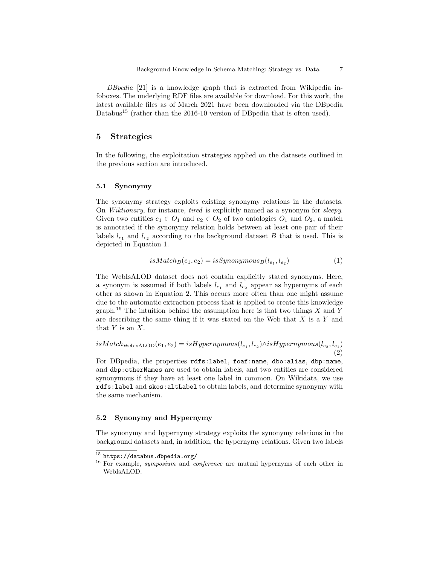DBpedia [\[21\]](#page-15-16) is a knowledge graph that is extracted from Wikipedia infoboxes. The underlying RDF files are available for download. For this work, the latest available files as of March 2021 have been downloaded via the DBpedia Databus<sup>[15](#page-6-1)</sup> (rather than the 2016-10 version of DB pedia that is often used).

## <span id="page-6-0"></span>5 Strategies

In the following, the exploitation strategies applied on the datasets outlined in the previous section are introduced.

#### 5.1 Synonymy

The synonymy strategy exploits existing synonymy relations in the datasets. On Wiktionary, for instance, tired is explicitly named as a synonym for sleepy. Given two entities  $e_1 \in O_1$  and  $e_2 \in O_2$  of two ontologies  $O_1$  and  $O_2$ , a match is annotated if the synonymy relation holds between at least one pair of their labels  $l_{e_1}$  and  $l_{e_2}$  according to the background dataset B that is used. This is depicted in Equation [1.](#page-6-2)

<span id="page-6-2"></span>
$$
isMatch_B(e_1, e_2) = isSymonymous_B(l_{e_1}, l_{e_2})
$$
\n<sup>(1)</sup>

The WebIsALOD dataset does not contain explicitly stated synonyms. Here, a synonym is assumed if both labels  $l_{e_1}$  and  $l_{e_2}$  appear as hypernyms of each other as shown in Equation [2.](#page-6-3) This occurs more often than one might assume due to the automatic extraction process that is applied to create this knowledge graph.<sup>[16](#page-6-4)</sup> The intuition behind the assumption here is that two things  $X$  and  $Y$ are describing the same thing if it was stated on the Web that  $X$  is a  $Y$  and that  $Y$  is an  $X$ .

<span id="page-6-3"></span>isMatch<sub>WebIsALOD</sub>
$$
(e_1, e_2) = isHypernymous(l_{e_1}, l_{e_2}) \wedge isHypernymous(l_{e_2}, l_{e_1})
$$
  
(2)

For DBpedia, the properties rdfs:label, foaf:name, dbo:alias, dbp:name, and dbp:otherNames are used to obtain labels, and two entities are considered synonymous if they have at least one label in common. On Wikidata, we use rdfs:label and skos:altLabel to obtain labels, and determine synonymy with the same mechanism.

# 5.2 Synonymy and Hypernymy

The synonymy and hypernymy strategy exploits the synonymy relations in the background datasets and, in addition, the hypernymy relations. Given two labels

<span id="page-6-1"></span> $^{15}$  <https://databus.dbpedia.org/>

<span id="page-6-4"></span><sup>&</sup>lt;sup>16</sup> For example, *symposium* and *conference* are mutual hypernyms of each other in WebIsALOD.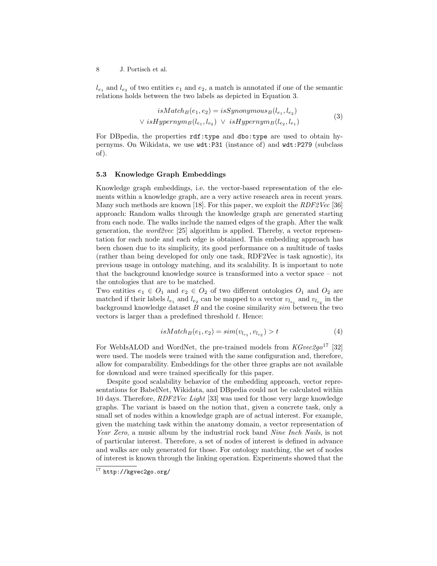$l_{e_1}$  and  $l_{e_2}$  of two entities  $e_1$  and  $e_2$ , a match is annotated if one of the semantic relations holds between the two labels as depicted in Equation [3.](#page-7-0)

isMatch<sub>B</sub>(
$$
e_1, e_2
$$
) = isSymonymous<sub>B</sub>( $l_{e_1}, l_{e_2}$ )  
\n
$$
\lor
$$
isHypernym<sub>B</sub>( $l_{e_1}, l_{e_2}$ ) 
$$
\lor
$$
isHypernym<sub>B</sub>( $l_{e_2}, l_{e_1}$ ) (3)

<span id="page-7-0"></span>For DBpedia, the properties rdf:type and dbo:type are used to obtain hypernyms. On Wikidata, we use wdt:P31 (instance of) and wdt:P279 (subclass of).

## 5.3 Knowledge Graph Embeddings

Knowledge graph embeddings, i.e. the vector-based representation of the elements within a knowledge graph, are a very active research area in recent years. Many such methods are known [\[18\]](#page-15-17). For this paper, we exploit the  $RDF2Vec$  [\[36\]](#page-16-10) approach: Random walks through the knowledge graph are generated starting from each node. The walks include the named edges of the graph. After the walk generation, the word2vec [\[25\]](#page-15-18) algorithm is applied. Thereby, a vector representation for each node and each edge is obtained. This embedding approach has been chosen due to its simplicity, its good performance on a multitude of tasks (rather than being developed for only one task, RDF2Vec is task agnostic), its previous usage in ontology matching, and its scalability. It is important to note that the background knowledge source is transformed into a vector space – not the ontologies that are to be matched.

Two entities  $e_1 \in O_1$  and  $e_2 \in O_2$  of two different ontologies  $O_1$  and  $O_2$  are matched if their labels  $l_{e_1}$  and  $l_{e_2}$  can be mapped to a vector  $v_{l_{e_1}}$  and  $v_{l_{e_2}}$  in the background knowledge dataset  $B$  and the cosine similarity  $sim$  between the two vectors is larger than a predefined threshold  $t$ . Hence:

$$
isMatch_B(e_1, e_2) = sim(v_{l_{e_1}}, v_{l_{e_2}}) > t
$$
\n(4)

For WebIsALOD and WordNet, the pre-trained models from  $KGvec2q0^{17}$  $KGvec2q0^{17}$  $KGvec2q0^{17}$  [\[32\]](#page-16-11) were used. The models were trained with the same configuration and, therefore, allow for comparability. Embeddings for the other three graphs are not available for download and were trained specifically for this paper.

Despite good scalability behavior of the embedding approach, vector representations for BabelNet, Wikidata, and DBpedia could not be calculated within 10 days. Therefore, RDF2Vec Light [\[33\]](#page-16-12) was used for those very large knowledge graphs. The variant is based on the notion that, given a concrete task, only a small set of nodes within a knowledge graph are of actual interest. For example, given the matching task within the anatomy domain, a vector representation of Year Zero, a music album by the industrial rock band Nine Inch Nails, is not of particular interest. Therefore, a set of nodes of interest is defined in advance and walks are only generated for those. For ontology matching, the set of nodes of interest is known through the linking operation. Experiments showed that the

<span id="page-7-1"></span> $\overline{17}$  <http://kgvec2go.org/>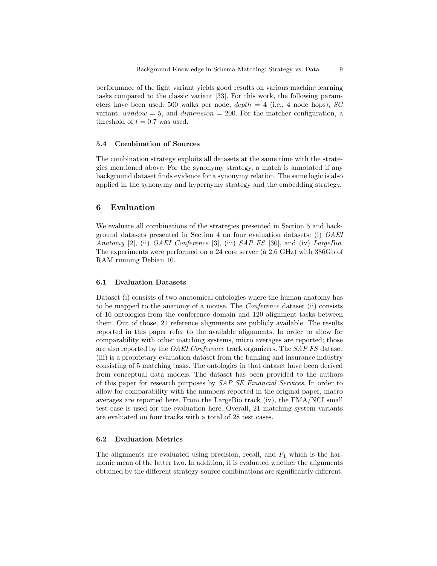performance of the light variant yields good results on various machine learning tasks compared to the classic variant [\[33\]](#page-16-12). For this work, the following parameters have been used: 500 walks per node,  $depth = 4$  (i.e., 4 node hops), SG variant, window  $= 5$ , and dimension  $= 200$ . For the matcher configuration, a threshold of  $t = 0.7$  was used.

#### 5.4 Combination of Sources

The combination strategy exploits all datasets at the same time with the strategies mentioned above. For the synonymy strategy, a match is annotated if any background dataset finds evidence for a synonymy relation. The same logic is also applied in the synonymy and hypernymy strategy and the embedding strategy.

# <span id="page-8-0"></span>6 Evaluation

We evaluate all combinations of the strategies presented in Section [5](#page-6-0) and background datasets presented in Section [4](#page-4-0) on four evaluation datasets: (i) OAEI Anatomy [\[2\]](#page-14-4), (ii) OAEI Conference [\[3\]](#page-14-5), (iii) SAP FS [\[30\]](#page-16-13), and (iv) LargeBio. The experiments were performed on a 24 core server  $(\hat{a} 2.6 \text{ GHz})$  with 386Gb of RAM running Debian 10.

## 6.1 Evaluation Datasets

Dataset (i) consists of two anatomical ontologies where the human anatomy has to be mapped to the anatomy of a mouse. The Conference dataset (ii) consists of 16 ontologies from the conference domain and 120 alignment tasks between them. Out of those, 21 reference alignments are publicly available. The results reported in this paper refer to the available alignments. In order to allow for comparability with other matching systems, micro averages are reported; those are also reported by the OAEI Conference track organizers. The SAP FS dataset (iii) is a proprietary evaluation dataset from the banking and insurance industry consisting of 5 matching tasks. The ontologies in that dataset have been derived from conceptual data models. The dataset has been provided to the authors of this paper for research purposes by SAP SE Financial Services. In order to allow for comparability with the numbers reported in the original paper, macro averages are reported here. From the LargeBio track (iv), the FMA/NCI small test case is used for the evaluation here. Overall, 21 matching system variants are evaluated on four tracks with a total of 28 test cases.

## 6.2 Evaluation Metrics

The alignments are evaluated using precision, recall, and  $F_1$  which is the harmonic mean of the latter two. In addition, it is evaluated whether the alignments obtained by the different strategy-source combinations are significantly different.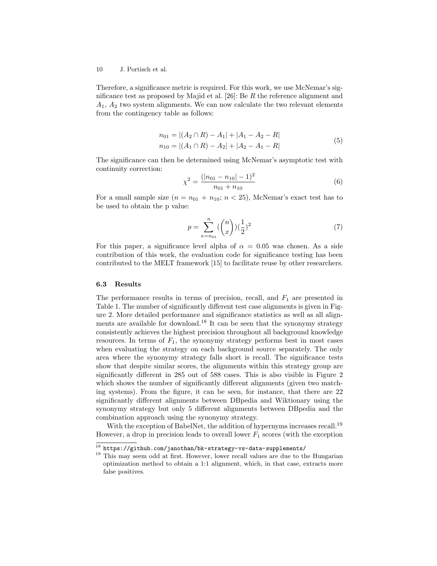Therefore, a significance metric is required. For this work, we use McNemar's significance test as proposed by Majid et al.  $[26]$ : Be R the reference alignment and  $A_1$ ,  $A_2$  two system alignments. We can now calculate the two relevant elements from the contingency table as follows:

$$
n_{01} = |(A_2 \cap R) - A_1| + |A_1 - A_2 - R|
$$
  
\n
$$
n_{10} = |(A_1 \cap R) - A_2| + |A_2 - A_1 - R|
$$
\n(5)

The significance can then be determined using McNemar's asymptotic test with continuity correction:

$$
\chi^2 = \frac{(|n_{01} - n_{10}| - 1)^2}{n_{01} + n_{10}}\tag{6}
$$

For a small sample size  $(n = n_{01} + n_{10}; n < 25)$ , McNemar's exact test has to be used to obtain the p value:

$$
p = \sum_{x=n_{01}}^{n} {n \choose x} (\frac{1}{2})^2
$$
 (7)

For this paper, a significance level alpha of  $\alpha = 0.05$  was chosen. As a side contribution of this work, the evaluation code for significance testing has been contributed to the MELT framework [\[15\]](#page-15-10) to facilitate reuse by other researchers.

#### 6.3 Results

The performance results in terms of precision, recall, and  $F_1$  are presented in Table [1.](#page-10-0) The number of significantly different test case alignments is given in Figure [2.](#page-11-0) More detailed performance and significance statistics as well as all align-ments are available for download.<sup>[18](#page-9-0)</sup> It can be seen that the synonymy strategy consistently achieves the highest precision throughout all background knowledge resources. In terms of  $F_1$ , the synonymy strategy performs best in most cases when evaluating the strategy on each background source separately. The only area where the synonymy strategy falls short is recall. The significance tests show that despite similar scores, the alignments within this strategy group are significantly different in 285 out of 588 cases. This is also visible in Figure [2](#page-11-0) which shows the number of significantly different alignments (given two matching systems). From the figure, it can be seen, for instance, that there are 22 significantly different alignments between DBpedia and Wiktionary using the synonymy strategy but only 5 different alignments between DBpedia and the combination approach using the synonymy strategy.

With the exception of BabelNet, the addition of hypernyms increases recall.<sup>[19](#page-9-1)</sup> However, a drop in precision leads to overall lower  $F_1$  scores (with the exception

<span id="page-9-0"></span> $^{18}$ <https://github.com/janothan/bk-strategy-vs-data-supplements/>

<span id="page-9-1"></span><sup>&</sup>lt;sup>19</sup> This may seem odd at first. However, lower recall values are due to the Hungarian optimization method to obtain a 1:1 alignment, which, in that case, extracts more false positives.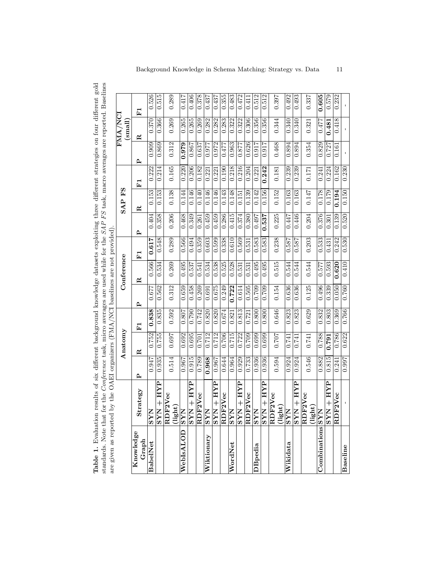<span id="page-10-0"></span>

| sults of six different background knowledge datasets exploiting three different strategies on four different gold | the Conference task, micro averages are used while for the SAP FS task, macro averages are reported. Basel<br>rzers (FMA/NCI baselines are not provided)<br>$\overline{H}$ of $\overline{H}$ or $\overline{H}$ |
|-------------------------------------------------------------------------------------------------------------------|----------------------------------------------------------------------------------------------------------------------------------------------------------------------------------------------------------------|
|                                                                                                                   |                                                                                                                                                                                                                |

|                                                       |                                                                          |              | Anatomy |       |       | Conference |       |              | $_{\rm F}$ S<br><b>SAP</b> |       |                    | FMA/NCI<br>Ilsmal) |       |
|-------------------------------------------------------|--------------------------------------------------------------------------|--------------|---------|-------|-------|------------|-------|--------------|----------------------------|-------|--------------------|--------------------|-------|
| Knowledge<br>Graph                                    | Strategy                                                                 | $\mathbf{p}$ | ≃       | 톱     | д     | ≃          | $\Xi$ | $\mathbf{a}$ | $\mathbf{g}$               | $\Xi$ | д                  | ⊯                  | 굽     |
| <b>BabelNet</b>                                       | $\mathbf{z}$<br>$\overline{S}$                                           | 0.947        | 0.752   | 0.838 | 0.677 | 0.566      | 0.617 | 0.404        | 0.153                      | 0.222 | 0.909              | 0.370              | 0.526 |
|                                                       | $\rm \Pr_{XH} + \rm \Pr_{X}$                                             | 0.935        | 0.755   | 0.835 | 0.562 | 0.534      | 0.548 | 0.358        | 0.153                      | 0.214 | 0.869              | 0.366              | 0.515 |
|                                                       | $\overline{F2Vec}$<br>$\mathbf{ht}$<br><u>iaje</u><br><u>HE al</u><br>KS | 0.514        | 0.697   | 0.592 | 0.312 | 0.269      | 0.289 | 0.206        | 0.138                      | 0.165 | 0.312              | 0.269              | 0.289 |
| WebIsALOD                                             | Z                                                                        | 0.967        | 0.692   | 0.807 | 0.659 | 0.495      | 0.566 | 0.468        | 0.144                      | 0.220 | 0.979              | 0.265              | 0.417 |
|                                                       | $N + N$<br>$\overline{\textbf{N}}$                                       | 0.915        | 0.695   | 0.790 | 0.458 | 0.537      | 0.494 | 0.349        | 0.146                      | 0.206 | 0.867              | 0.265              | 0.406 |
|                                                       | F <sub>2</sub> Vec<br>$_{\rm RD}$                                        | 0.789        | 0.701   | 0.742 | 0.269 | 0.541      | 0.359 | 0.261        | 0.140                      | 0.182 | 0.637              | 0.269              | 0.378 |
| Wiktionary                                            | $\mathbf{z}$<br>$\overline{S}$                                           | 0.968        | 0.712   | 0.820 | 0.691 | 0.534      | 0.603 | 0.459        | 0.146                      | 0.221 | 0.977              | 0.282              | 0.437 |
|                                                       | HYP<br>$\frac{+}{\mathbf{Z}}$<br>$\overline{\textbf{S}}$                 | 0.967        | 0.712   | 0.820 | 0.675 | 0.538      | 0.599 | 0.459        | 0.146                      | 0.221 | 0.972              | 0.282              | 0.437 |
|                                                       | F <sub>2</sub> Vec<br>$\mathbf{B}$                                       | 0.644        | 0.706   | 0.674 | 0.249 | 0.525      | 0.338 | 0.286        | 0.143                      | 0.190 | 0.477              | 0.283              | 0.355 |
| WordNet                                               | $\mathbf{z}$<br>$ \mathbf{S} \rangle$                                    | 0.964        | 0.715   | 0.821 | 0.722 | 0.528      | 0.610 | 0.415        | 0.148                      | 0.218 | 0.963              | 0.322              | 0.483 |
|                                                       | $\rm \frac{1}{2}$ HYP<br>$\overline{S}$                                  | 0.929        | 0.722   | 0.813 | 0.614 | 0.531      | 0.569 | 0.374        | 0.151                      | 0.216 | 0.877              | 0.322              | 0.472 |
|                                                       | $\frac{\text{F2Vec}}{\text{N}}$<br>$\overline{BD}$                       | 0.733        | 0.709   | 0.721 | 0.505 | 0.531      | 0.531 | 0.380        | 0.139                      | 0.204 | 0.626              | 0.306              | 0.411 |
| <b>DB</b> pedia                                       | $\overline{S}$                                                           | 0.936        | 0.699   | 0.800 | 0.709 | 0.495      | 0.583 | 0.497        | 0.142                      | 0.221 | 0.917              | 0.356              | 0.512 |
|                                                       | HYP<br>$+$<br>$\overline{z}$<br>$\overline{S}$                           | 0.936        | 0.699   | 0.800 | 0.709 | 0.495      | 0.583 | 0.537        | 0.156                      | 0.242 | 0.917              | 0.356              | 0.512 |
|                                                       | $\overline{\text{F2Vec}}$<br>ht)<br>$\overline{\mathbf{BD}}$             | 0.594        | 0.707   | 0.646 | 0.154 | 0.515      | 0.238 | 0.225        | 0.152                      | 0.181 | 0.468              | 0.344              | 0.397 |
| Wikidata                                              | $\mathbf{z}$<br>$\frac{1}{\sqrt{2}}$                                     | 0.924        | 0.741   | 0.823 | 0.636 | 0.544      | 0.587 | 0.447        | 0.163                      | 0.239 | 0.894              | 0.340              | 0.492 |
|                                                       | $\rm \frac{P}{N}$ $\rm \frac{H}{N}$                                      | 0.924        | 0.741   | 0.823 | 0.636 | 0.544      | 0.587 | 0.446        | 0.163                      | 0.239 | 0.894              | 0.340              | 0.493 |
| XYX<br>HDF<br>HDF<br>Combinations SYN<br>Combinations | F <sub>2</sub> Vec<br>$\ln(t)$                                           | 0.546        | 0.741   | 0.629 | 0.125 | 0.544      | 0.203 | 0.204        | 0.147                      | 0.171 | 0.354              | 0.321              | 0.337 |
|                                                       | Z                                                                        | 0.882        | 0.788   | 0.832 | 0.496 | 0.577      | 0.533 | 0.376        | 0.178                      | 0.241 | 0.829              | 0.477              | 0.605 |
|                                                       | $\mathbf{Y} \mathbf{H} + \mathbf{N}$<br>LSI                              | 0.815        | 0.791   | 0.803 | 0.339 | 0.593      | 0.431 | 0.301        | 0.179                      | 0.224 | $\overline{0.727}$ | 0.481              | 0.579 |
|                                                       | F <sub>2</sub> Vec<br>RD                                                 | 0.241        | 0.786   | 0.369 | 0.050 | 0.620      | 0.242 | 0.139        | 0.194                      | 0.162 | 0.161              | 0.418              | 0.232 |
| Baseline                                              |                                                                          | 0.997        | 0.622   | 0.766 | 0.760 | 0.410      | 0.530 | 0.520        | 0.150                      | 0.230 | ı                  |                    | f,    |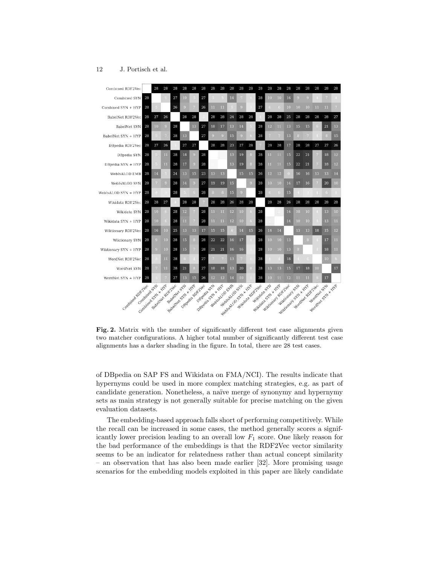

<span id="page-11-0"></span>Fig. 2. Matrix with the number of significantly different test case alignments given two matcher configurations. A higher total number of significantly different test case alignments has a darker shading in the figure. In total, there are 28 test cases.

of DBpedia on SAP FS and Wikidata on FMA/NCI). The results indicate that hypernyms could be used in more complex matching strategies, e.g. as part of candidate generation. Nonetheless, a naïve merge of synonymy and hypernymy sets as main strategy is not generally suitable for precise matching on the given evaluation datasets.

The embedding-based approach falls short of performing competitively. While the recall can be increased in some cases, the method generally scores a significantly lower precision leading to an overall low  $F_1$  score. One likely reason for the bad performance of the embeddings is that the RDF2Vec vector similarity seems to be an indicator for relatedness rather than actual concept similarity – an observation that has also been made earlier [\[32\]](#page-16-11). More promising usage scenarios for the embedding models exploited in this paper are likely candidate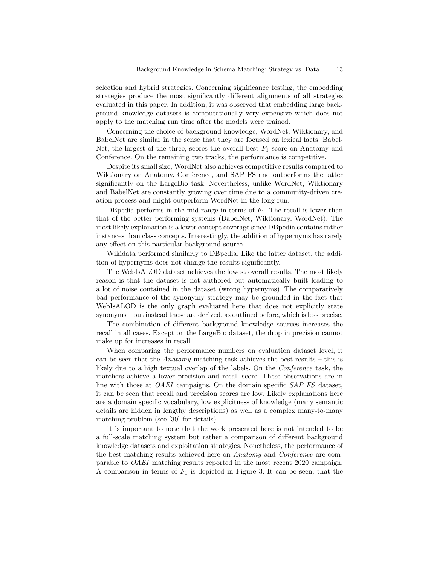selection and hybrid strategies. Concerning significance testing, the embedding strategies produce the most significantly different alignments of all strategies evaluated in this paper. In addition, it was observed that embedding large background knowledge datasets is computationally very expensive which does not apply to the matching run time after the models were trained.

Concerning the choice of background knowledge, WordNet, Wiktionary, and BabelNet are similar in the sense that they are focused on lexical facts. Babel-Net, the largest of the three, scores the overall best  $F_1$  score on Anatomy and Conference. On the remaining two tracks, the performance is competitive.

Despite its small size, WordNet also achieves competitive results compared to Wiktionary on Anatomy, Conference, and SAP FS and outperforms the latter significantly on the LargeBio task. Nevertheless, unlike WordNet, Wiktionary and BabelNet are constantly growing over time due to a community-driven creation process and might outperform WordNet in the long run.

DB pedia performs in the mid-range in terms of  $F_1$ . The recall is lower than that of the better performing systems (BabelNet, Wiktionary, WordNet). The most likely explanation is a lower concept coverage since DBpedia contains rather instances than class concepts. Interestingly, the addition of hypernyms has rarely any effect on this particular background source.

Wikidata performed similarly to DBpedia. Like the latter dataset, the addition of hypernyms does not change the results significantly.

The WebIsALOD dataset achieves the lowest overall results. The most likely reason is that the dataset is not authored but automatically built leading to a lot of noise contained in the dataset (wrong hypernyms). The comparatively bad performance of the synonymy strategy may be grounded in the fact that WebIsALOD is the only graph evaluated here that does not explicitly state synonyms – but instead those are derived, as outlined before, which is less precise.

The combination of different background knowledge sources increases the recall in all cases. Except on the LargeBio dataset, the drop in precision cannot make up for increases in recall.

When comparing the performance numbers on evaluation dataset level, it can be seen that the Anatomy matching task achieves the best results – this is likely due to a high textual overlap of the labels. On the Conference task, the matchers achieve a lower precision and recall score. These observations are in line with those at OAEI campaigns. On the domain specific SAP FS dataset, it can be seen that recall and precision scores are low. Likely explanations here are a domain specific vocabulary, low explicitness of knowledge (many semantic details are hidden in lengthy descriptions) as well as a complex many-to-many matching problem (see [\[30\]](#page-16-13) for details).

It is important to note that the work presented here is not intended to be a full-scale matching system but rather a comparison of different background knowledge datasets and exploitation strategies. Nonetheless, the performance of the best matching results achieved here on Anatomy and Conference are comparable to OAEI matching results reported in the most recent 2020 campaign. A comparison in terms of  $F_1$  is depicted in Figure [3.](#page-13-0) It can be seen, that the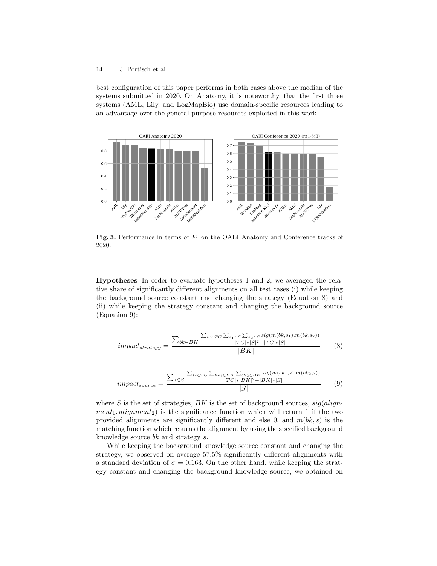best configuration of this paper performs in both cases above the median of the systems submitted in 2020. On Anatomy, it is noteworthy, that the first three systems (AML, Lily, and LogMapBio) use domain-specific resources leading to an advantage over the general-purpose resources exploited in this work.



<span id="page-13-0"></span>**Fig. 3.** Performance in terms of  $F_1$  on the OAEI Anatomy and Conference tracks of 2020.

Hypotheses In order to evaluate hypotheses 1 and 2, we averaged the relative share of significantly different alignments on all test cases (i) while keeping the background source constant and changing the strategy (Equation [8\)](#page-13-1) and (ii) while keeping the strategy constant and changing the background source (Equation [9\)](#page-13-2):

<span id="page-13-1"></span>
$$
impact_{strategy} = \frac{\sum_{b k \in BK} \frac{\sum_{t \in TC} \sum_{s_1 \in S} \sum_{s_2 \in S} sig(m(b k, s_1), m(b k, s_2))}{|TC| * |S|^2 - |TC| * |S|}}{|BK|} \tag{8}
$$

<span id="page-13-2"></span>
$$
impact_{source} = \frac{\sum_{s \in S} \frac{\sum_{tc \in TC} \sum_{bk_1 \in BK} \sum_{bk_2 \in BK} sig(m(bk_1, s), m(bk_2, s))}{|TC| * |BK|^2 - |BK| * |S|}}{|S|}
$$
(9)

where S is the set of strategies, BK is the set of background sources,  $sig(align$  $ment_1, alignment_2)$  is the significance function which will return 1 if the two provided alignments are significantly different and else 0, and  $m(bk, s)$  is the matching function which returns the alignment by using the specified background knowledge source bk and strategy s.

While keeping the background knowledge source constant and changing the strategy, we observed on average 57.5% significantly different alignments with a standard deviation of  $\sigma = 0.163$ . On the other hand, while keeping the strategy constant and changing the background knowledge source, we obtained on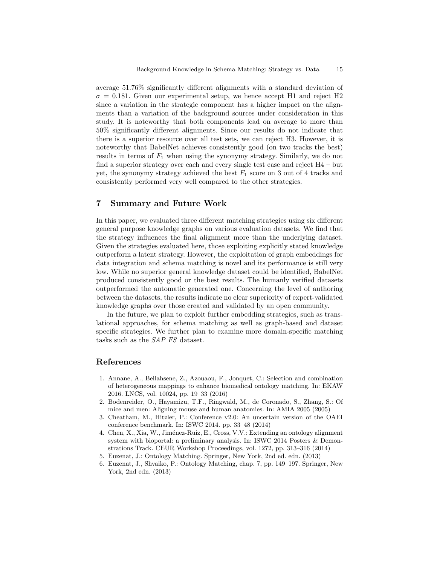average 51.76% significantly different alignments with a standard deviation of  $\sigma = 0.181$ . Given our experimental setup, we hence accept H1 and reject H2 since a variation in the strategic component has a higher impact on the alignments than a variation of the background sources under consideration in this study. It is noteworthy that both components lead on average to more than 50% significantly different alignments. Since our results do not indicate that there is a superior resource over all test sets, we can reject H3. However, it is noteworthy that BabelNet achieves consistently good (on two tracks the best) results in terms of  $F_1$  when using the synonymy strategy. Similarly, we do not find a superior strategy over each and every single test case and reject H4 – but yet, the synonymy strategy achieved the best  $F_1$  score on 3 out of 4 tracks and consistently performed very well compared to the other strategies.

## 7 Summary and Future Work

In this paper, we evaluated three different matching strategies using six different general purpose knowledge graphs on various evaluation datasets. We find that the strategy influences the final alignment more than the underlying dataset. Given the strategies evaluated here, those exploiting explicitly stated knowledge outperform a latent strategy. However, the exploitation of graph embeddings for data integration and schema matching is novel and its performance is still very low. While no superior general knowledge dataset could be identified, BabelNet produced consistently good or the best results. The humanly verified datasets outperformed the automatic generated one. Concerning the level of authoring between the datasets, the results indicate no clear superiority of expert-validated knowledge graphs over those created and validated by an open community.

In the future, we plan to exploit further embedding strategies, such as translational approaches, for schema matching as well as graph-based and dataset specific strategies. We further plan to examine more domain-specific matching tasks such as the SAP FS dataset.

## References

- <span id="page-14-2"></span>1. Annane, A., Bellahsene, Z., Azouaou, F., Jonquet, C.: Selection and combination of heterogeneous mappings to enhance biomedical ontology matching. In: EKAW 2016. LNCS, vol. 10024, pp. 19–33 (2016)
- <span id="page-14-4"></span>2. Bodenreider, O., Hayamizu, T.F., Ringwald, M., de Coronado, S., Zhang, S.: Of mice and men: Aligning mouse and human anatomies. In: AMIA 2005 (2005)
- <span id="page-14-5"></span>3. Cheatham, M., Hitzler, P.: Conference v2.0: An uncertain version of the OAEI conference benchmark. In: ISWC 2014. pp. 33–48 (2014)
- <span id="page-14-1"></span>4. Chen, X., Xia, W., Jiménez-Ruiz, E., Cross, V.V.: Extending an ontology alignment system with bioportal: a preliminary analysis. In: ISWC 2014 Posters & Demonstrations Track. CEUR Workshop Proceedings, vol. 1272, pp. 313–316 (2014)
- <span id="page-14-0"></span>5. Euzenat, J.: Ontology Matching. Springer, New York, 2nd ed. edn. (2013)
- <span id="page-14-3"></span>6. Euzenat, J., Shvaiko, P.: Ontology Matching, chap. 7, pp. 149–197. Springer, New York, 2nd edn. (2013)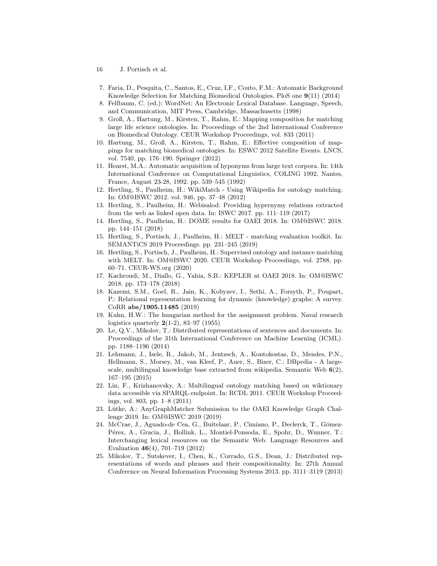- 16 J. Portisch et al.
- <span id="page-15-3"></span>7. Faria, D., Pesquita, C., Santos, E., Cruz, I.F., Couto, F.M.: Automatic Background Knowledge Selection for Matching Biomedical Ontologies. PloS one 9(11) (2014)
- <span id="page-15-15"></span>8. Fellbaum, C. (ed.): WordNet: An Electronic Lexical Database. Language, Speech, and Communication, MIT Press, Cambridge, Massachusetts (1998)
- <span id="page-15-2"></span>9. Groß, A., Hartung, M., Kirsten, T., Rahm, E.: Mapping composition for matching large life science ontologies. In: Proceedings of the 2nd International Conference on Biomedical Ontology. CEUR Workshop Proceedings, vol. 833 (2011)
- <span id="page-15-4"></span>10. Hartung, M., Groß, A., Kirsten, T., Rahm, E.: Effective composition of mappings for matching biomedical ontologies. In: ESWC 2012 Satellite Events. LNCS, vol. 7540, pp. 176–190. Springer (2012)
- <span id="page-15-13"></span>11. Hearst, M.A.: Automatic acquisition of hyponyms from large text corpora. In: 14th International Conference on Computational Linguistics, COLING 1992, Nantes, France, August 23-28, 1992. pp. 539–545 (1992)
- <span id="page-15-0"></span>12. Hertling, S., Paulheim, H.: WikiMatch - Using Wikipedia for ontology matching. In: OM@ISWC 2012. vol. 946, pp. 37–48 (2012)
- <span id="page-15-14"></span>13. Hertling, S., Paulheim, H.: Webisalod: Providing hypernymy relations extracted from the web as linked open data. In: ISWC 2017. pp. 111–119 (2017)
- <span id="page-15-6"></span>14. Hertling, S., Paulheim, H.: DOME results for OAEI 2018. In: OM@ISWC 2018. pp. 144–151 (2018)
- <span id="page-15-10"></span>15. Hertling, S., Portisch, J., Paulheim, H.: MELT - matching evaluation toolkit. In: SEMANTiCS 2019 Proceedings. pp. 231–245 (2019)
- <span id="page-15-11"></span>16. Hertling, S., Portisch, J., Paulheim, H.: Supervised ontology and instance matching with MELT. In: OM@ISWC 2020. CEUR Workshop Proceedings, vol. 2788, pp. 60–71. CEUR-WS.org (2020)
- <span id="page-15-5"></span>17. Kachroudi, M., Diallo, G., Yahia, S.B.: KEPLER at OAEI 2018. In: OM@ISWC 2018. pp. 173–178 (2018)
- <span id="page-15-17"></span>18. Kazemi, S.M., Goel, R., Jain, K., Kobyzev, I., Sethi, A., Forsyth, P., Poupart, P.: Relational representation learning for dynamic (knowledge) graphs: A survey. CoRR abs/1905.11485 (2019)
- <span id="page-15-9"></span>19. Kuhn, H.W.: The hungarian method for the assignment problem. Naval research logistics quarterly 2(1-2), 83–97 (1955)
- <span id="page-15-7"></span>20. Le, Q.V., Mikolov, T.: Distributed representations of sentences and documents. In: Proceedings of the 31th International Conference on Machine Learning (ICML). pp. 1188–1196 (2014)
- <span id="page-15-16"></span>21. Lehmann, J., Isele, R., Jakob, M., Jentzsch, A., Kontokostas, D., Mendes, P.N., Hellmann, S., Morsey, M., van Kleef, P., Auer, S., Bizer, C.: DBpedia - A largescale, multilingual knowledge base extracted from wikipedia. Semantic Web  $6(2)$ , 167–195 (2015)
- <span id="page-15-1"></span>22. Lin, F., Krizhanovsky, A.: Multilingual ontology matching based on wiktionary data accessible via SPARQL endpoint. In: RCDL 2011. CEUR Workshop Proceedings, vol. 803, pp. 1–8 (2011)
- <span id="page-15-8"></span>23. Lütke, A.: AnyGraphMatcher Submission to the OAEI Knowledge Graph Challenge 2019. In: OM@ISWC 2019 (2019)
- <span id="page-15-12"></span>24. McCrae, J., Aguado-de Cea, G., Buitelaar, P., Cimiano, P., Declerck, T., Gómez-Pérez, A., Gracia, J., Hollink, L., Montiel-Ponsoda, E., Spohr, D., Wunner, T.: Interchanging lexical resources on the Semantic Web. Language Resources and Evaluation 46(4), 701–719 (2012)
- <span id="page-15-18"></span>25. Mikolov, T., Sutskever, I., Chen, K., Corrado, G.S., Dean, J.: Distributed representations of words and phrases and their compositionality. In: 27th Annual Conference on Neural Information Processing Systems 2013. pp. 3111–3119 (2013)